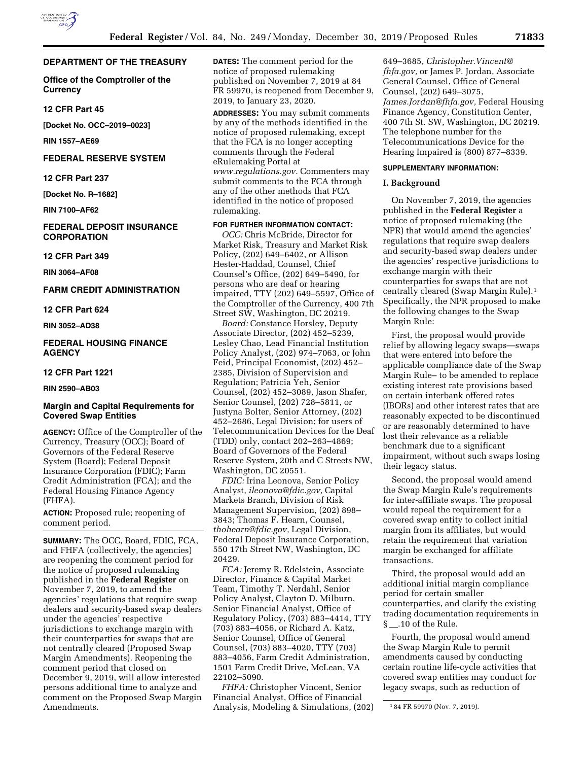## **DEPARTMENT OF THE TREASURY**

**Office of the Comptroller of the Currency** 

## **12 CFR Part 45**

**[Docket No. OCC–2019–0023]** 

**RIN 1557–AE69** 

# **FEDERAL RESERVE SYSTEM**

#### **12 CFR Part 237**

**[Docket No. R–1682]** 

**RIN 7100–AF62** 

## **FEDERAL DEPOSIT INSURANCE CORPORATION**

**12 CFR Part 349** 

**RIN 3064–AF08** 

# **FARM CREDIT ADMINISTRATION**

**12 CFR Part 624** 

#### **RIN 3052–AD38**

## **FEDERAL HOUSING FINANCE AGENCY**

## **12 CFR Part 1221**

## **RIN 2590–AB03**

# **Margin and Capital Requirements for Covered Swap Entities**

**AGENCY:** Office of the Comptroller of the Currency, Treasury (OCC); Board of Governors of the Federal Reserve System (Board); Federal Deposit Insurance Corporation (FDIC); Farm Credit Administration (FCA); and the Federal Housing Finance Agency (FHFA).

**ACTION:** Proposed rule; reopening of comment period.

**SUMMARY:** The OCC, Board, FDIC, FCA, and FHFA (collectively, the agencies) are reopening the comment period for the notice of proposed rulemaking published in the **Federal Register** on November 7, 2019, to amend the agencies' regulations that require swap dealers and security-based swap dealers under the agencies' respective jurisdictions to exchange margin with their counterparties for swaps that are not centrally cleared (Proposed Swap Margin Amendments). Reopening the comment period that closed on December 9, 2019, will allow interested persons additional time to analyze and comment on the Proposed Swap Margin Amendments.

**DATES:** The comment period for the notice of proposed rulemaking published on November 7, 2019 at 84 FR 59970, is reopened from December 9, 2019, to January 23, 2020.

**ADDRESSES:** You may submit comments by any of the methods identified in the notice of proposed rulemaking, except that the FCA is no longer accepting comments through the Federal eRulemaking Portal at *[www.regulations.gov.](http://www.regulations.gov)* Commenters may submit comments to the FCA through any of the other methods that FCA identified in the notice of proposed rulemaking.

## **FOR FURTHER INFORMATION CONTACT:**

*OCC:* Chris McBride, Director for Market Risk, Treasury and Market Risk Policy, (202) 649–6402, or Allison Hester-Haddad, Counsel, Chief Counsel's Office, (202) 649–5490, for persons who are deaf or hearing impaired, TTY (202) 649–5597, Office of the Comptroller of the Currency, 400 7th Street SW, Washington, DC 20219.

*Board:* Constance Horsley, Deputy Associate Director, (202) 452–5239, Lesley Chao, Lead Financial Institution Policy Analyst, (202) 974–7063, or John Feid, Principal Economist, (202) 452– 2385, Division of Supervision and Regulation; Patricia Yeh, Senior Counsel, (202) 452–3089, Jason Shafer, Senior Counsel, (202) 728–5811, or Justyna Bolter, Senior Attorney, (202) 452–2686, Legal Division; for users of Telecommunication Devices for the Deaf (TDD) only, contact 202–263–4869; Board of Governors of the Federal Reserve System, 20th and C Streets NW, Washington, DC 20551.

*FDIC:* Irina Leonova, Senior Policy Analyst, *[ileonova@fdic.gov,](mailto:ileonova@fdic.gov)* Capital Markets Branch, Division of Risk Management Supervision, (202) 898– 3843; Thomas F. Hearn, Counsel, *[thohearn@fdic.gov,](mailto:thohearn@fdic.gov)* Legal Division, Federal Deposit Insurance Corporation, 550 17th Street NW, Washington, DC 20429.

*FCA:* Jeremy R. Edelstein, Associate Director, Finance & Capital Market Team, Timothy T. Nerdahl, Senior Policy Analyst, Clayton D. Milburn, Senior Financial Analyst, Office of Regulatory Policy, (703) 883–4414, TTY (703) 883–4056, or Richard A. Katz, Senior Counsel, Office of General Counsel, (703) 883–4020, TTY (703) 883–4056, Farm Credit Administration, 1501 Farm Credit Drive, McLean, VA 22102–5090.

*FHFA:* Christopher Vincent, Senior Financial Analyst, Office of Financial Analysis, Modeling & Simulations, (202)

649–3685, *[Christopher.Vincent@](mailto:Christopher.Vincent@fhfa.gov) [fhfa.gov,](mailto:Christopher.Vincent@fhfa.gov)* or James P. Jordan, Associate General Counsel, Office of General Counsel, (202) 649–3075, *[James.Jordan@fhfa.gov,](mailto:James.Jordan@fhfa.gov)* Federal Housing Finance Agency, Constitution Center, 400 7th St. SW, Washington, DC 20219. The telephone number for the Telecommunications Device for the Hearing Impaired is (800) 877–8339.

## **SUPPLEMENTARY INFORMATION:**

## **I. Background**

On November 7, 2019, the agencies published in the **Federal Register** a notice of proposed rulemaking (the NPR) that would amend the agencies' regulations that require swap dealers and security-based swap dealers under the agencies' respective jurisdictions to exchange margin with their counterparties for swaps that are not centrally cleared (Swap Margin Rule).1 Specifically, the NPR proposed to make the following changes to the Swap Margin Rule:

First, the proposal would provide relief by allowing legacy swaps—swaps that were entered into before the applicable compliance date of the Swap Margin Rule– to be amended to replace existing interest rate provisions based on certain interbank offered rates (IBORs) and other interest rates that are reasonably expected to be discontinued or are reasonably determined to have lost their relevance as a reliable benchmark due to a significant impairment, without such swaps losing their legacy status.

Second, the proposal would amend the Swap Margin Rule's requirements for inter-affiliate swaps. The proposal would repeal the requirement for a covered swap entity to collect initial margin from its affiliates, but would retain the requirement that variation margin be exchanged for affiliate transactions.

Third, the proposal would add an additional initial margin compliance period for certain smaller counterparties, and clarify the existing trading documentation requirements in §<sup>10</sup>.10 of the Rule.

Fourth, the proposal would amend the Swap Margin Rule to permit amendments caused by conducting certain routine life-cycle activities that covered swap entities may conduct for legacy swaps, such as reduction of